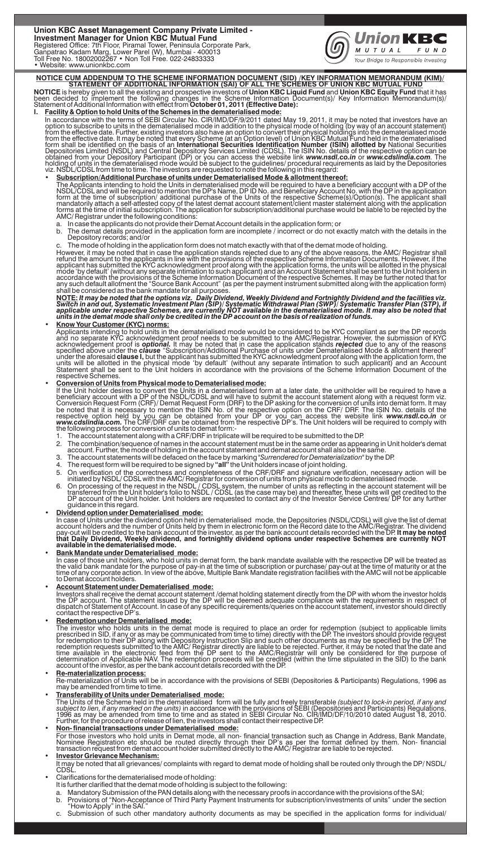Union KBC Asset Management Company Private Limited -<br>Investment Manager for Union KBC Mutual Fund<br>Registered Office: 7th Floor, Piramal Tower, Peninsula Corporate Park,<br>Ganpatrao Kadam Marg, Lower Parel (W), Mumbai - 40001



NOTICE CUM ADDENDUM TO THE SCHEME INFORMATION DOCUMENT (SID) /KEY INFORMATION MEMORANDUM (KIM)/<br>STATEMENT OF ADDITIONAL INFORMATION (SAI) OF ALL THE SCHEMES OF UNION KBC MUTUAL FUND<br>NOTICE is hereby given to all the existi

**I. Facility & Option to hold Units of the Schemes in the dematerialised mode:**<br>In accordance with the terms of SEBI Circular No. CIR/IMD/DF/9/20011 dated May 19, 2011, it may be noted that investors have an option to sub

The Applicants intending to hold the Units in dematerialised mode will be required to have a beneficiary account with a DP of the<br>NSDL/CDSL and will be required to mention the DP's Name, DP ID No. and Beneficiary Account N

- 
- a. In case the applicants do not provide their Demat Account details in the application form; or<br>b. The demat details provided in the application form are incomplete / incorrect or do not exactly match with the details
- 

c. The mode of holding in the application form does not match exactly with that of the demat mode of holding.<br>However, it may be noted that in case the application stands rejected due to any of the above reasons, the AMC/

• Know Your Customer (KYC) norms:<br>Applicants intending to hold units in the dematerialised mode would be considered to be KYC compliant as per the DP records<br>and no separate KYC acknowledgment proof needs to be submitted t

### **• Conversion of Units from Physical mode to Dematerialised mode:**

If the Unit holder desires to convert the Units in a dematerialised form at a later date, the unitholder will be required to have a beneficiary account with a DP of the NSDL/CDSL and will have to submit the account stateme

- 
- 
- 
- 
- 
- 1. The account statement along with a CRF/DRF in triplicate will be required to be submitted to the DP.<br>2. The combination/sequence of names in the account statement must be in the same order as appearing in Unit holder's guidance in this regard.

• Dividend option under Dematerialised mode:<br>
In case of Units under the dividend option held in dematerialised mode, the Depositories (NSDL/CDSL) will give the list of demat<br>
account holders and the number of Units held b

• Bank Mandate under Dematerialised mode:<br>In case of those unit holders, who hold units in demat form, the bank mandate available with the respective DP will be treated as<br>the valid bank mandate for the purpose of pay-in a

• Account Statement under Dematerialised mode:<br>Investors shall receive the demat account statement /demat holding statement directly from the DP with whom the investor holds<br>the DP account. The statement issued by the DP w

• Redemption under Dematerialised mode:<br>The investor who holds units in the demat mode is required to place an order for redemption (subject to applicable limits<br>the investor who holds units in the demat mode is required t

## **• Re-materialization process:**

Re-materialization of Units will be in accordance with the provisions of SEBI (Depositories & Participants) Regulations, 1996 as may be amended from time to time.

**• Transferability of Units under Dematerialised mode:**  The Units of the Scheme held in the dematerialised form will be fully and freely transferable *(subject to lock-in period, if any and*<br>s*ubject to lien, if any marked on the units)* in accordance with the provisions of SE

**• Non- financial transactions under Dematerialised mode:**

For those investors who hold units in Demat mode, all non- financial transaction such as Change in Address, Bank Mandate,<br>Nominee Registration etc should be routed directly through their DP's as per the format defined by t

- It may be noted that all grievances/ complaints with regard to demat mode of holding shall be routed only through the DP/ NSDL/ CDSL.
- Clarifications for the dematerialised mode of holding:
	-
	- It is further clarified that the demat mode of holding is subject to the following:<br>a. Mandatory Submission of the PAN details along with the necessary proofs in accordance with the provisions of the SAI;<br>b. Provisions of
	-